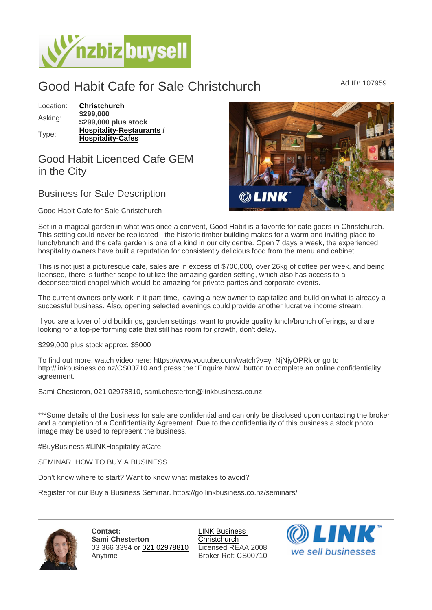## Good Habit Cafe for Sale Christchurch Ad ID: 107959

| Location: | Christchurch                   |  |
|-----------|--------------------------------|--|
| Asking:   | \$299,000                      |  |
|           | \$299,000 plus stock           |  |
| Type:     | <b>Hospitality-Restaurants</b> |  |
|           | <b>Hospitality-Cafes</b>       |  |
|           |                                |  |

## Good Habit Licenced Cafe GEM in the City

## Business for Sale Description

## Good Habit Cafe for Sale Christchurch

Set in a magical garden in what was once a convent, Good Habit is a favorite for cafe goers in Christchurch. This setting could never be replicated - the historic timber building makes for a warm and inviting place to lunch/brunch and the cafe garden is one of a kind in our city centre. Open 7 days a week, the experienced hospitality owners have built a reputation for consistently delicious food from the menu and cabinet.

This is not just a picturesque cafe, sales are in excess of \$700,000, over 26kg of coffee per week, and being licensed, there is further scope to utilize the amazing garden setting, which also has access to a deconsecrated chapel which would be amazing for private parties and corporate events.

The current owners only work in it part-time, leaving a new owner to capitalize and build on what is already a successful business. Also, opening selected evenings could provide another lucrative income stream.

If you are a lover of old buildings, garden settings, want to provide quality lunch/brunch offerings, and are looking for a top-performing cafe that still has room for growth, don't delay.

\$299,000 plus stock approx. \$5000

To find out more, watch video here: https://www.youtube.com/watch?v=y\_NjNjyOPRk or go to http://linkbusiness.co.nz/CS00710 and press the "Enquire Now" button to complete an online confidentiality agreement.

Sami Chesteron, 021 02978810, sami.chesterton@linkbusiness.co.nz

\*\*\*Some details of the business for sale are confidential and can only be disclosed upon contacting the broker and a completion of a Confidentiality Agreement. Due to the confidentiality of this business a stock photo image may be used to represent the business.

#BuyBusiness #LINKHospitality #Cafe

SEMINAR: HOW TO BUY A BUSINESS

Don't know where to start? Want to know what mistakes to avoid?

Register for our Buy a Business Seminar. https://go.linkbusiness.co.nz/seminars/

Contact: Sami Chesterton 03 366 3394 or [021 02978810](tel:021 02978810) Anytime

[LINK Business](https://www.nzbizbuysell.co.nz/business-brokers/52/link-business-christchurch/brokerage-listings)  **[Christchurch](https://www.nzbizbuysell.co.nz/business-brokers/52/link-business-christchurch/brokerage-listings)** Licensed REAA 2008 Broker Ref: CS00710